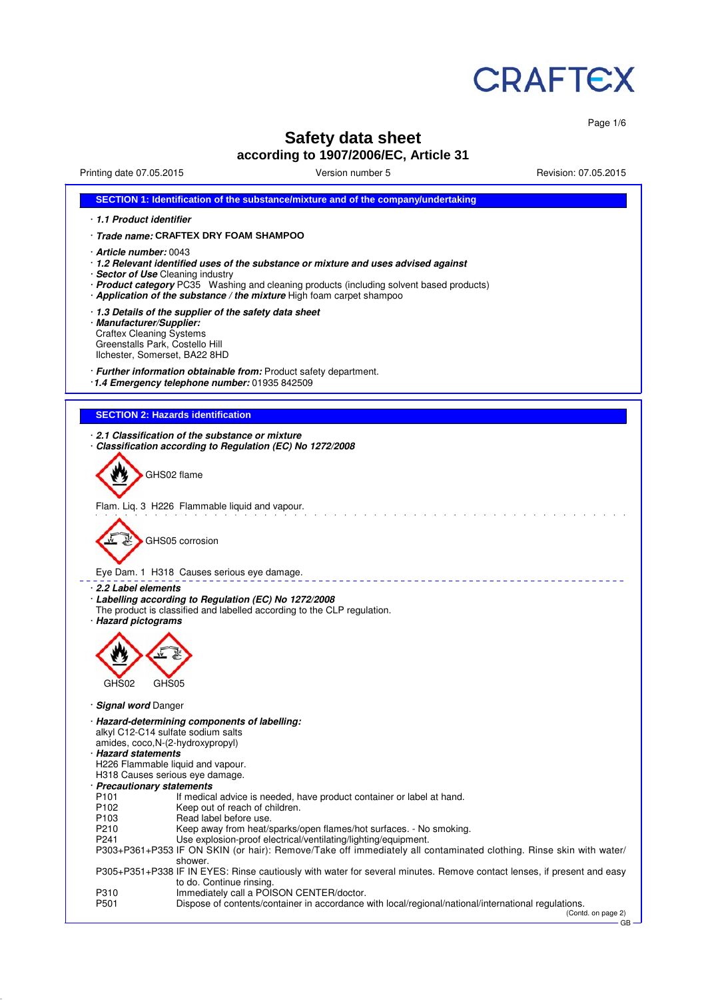

Page 1/6

# **Safety data sheet**

# **according to 1907/2006/EC, Article 31**

Printing date 07.05.2015 Version number 5 Revision: 07.05.2015

|                                                            | SECTION 1: Identification of the substance/mixture and of the company/undertaking                                                                                                                                                                                                                                       |  |  |  |  |  |
|------------------------------------------------------------|-------------------------------------------------------------------------------------------------------------------------------------------------------------------------------------------------------------------------------------------------------------------------------------------------------------------------|--|--|--|--|--|
| 1.1 Product identifier                                     |                                                                                                                                                                                                                                                                                                                         |  |  |  |  |  |
|                                                            | · Trade name: CRAFTEX DRY FOAM SHAMPOO                                                                                                                                                                                                                                                                                  |  |  |  |  |  |
|                                                            | · Article number: 0043<br>· 1.2 Relevant identified uses of the substance or mixture and uses advised against<br>· Sector of Use Cleaning industry<br>· Product category PC35 Washing and cleaning products (including solvent based products)<br>· Application of the substance / the mixture High foam carpet shampoo |  |  |  |  |  |
|                                                            | 1.3 Details of the supplier of the safety data sheet<br>· Manufacturer/Supplier:<br><b>Craftex Cleaning Systems</b><br>Greenstalls Park, Costello Hill<br>Ilchester, Somerset, BA22 8HD                                                                                                                                 |  |  |  |  |  |
|                                                            | · Further information obtainable from: Product safety department.<br>1.4 Emergency telephone number: 01935 842509                                                                                                                                                                                                       |  |  |  |  |  |
| <b>SECTION 2: Hazards identification</b>                   |                                                                                                                                                                                                                                                                                                                         |  |  |  |  |  |
|                                                            | 2.1 Classification of the substance or mixture<br>Classification according to Regulation (EC) No 1272/2008                                                                                                                                                                                                              |  |  |  |  |  |
| GHS02 flame                                                | Flam. Lig. 3 H226 Flammable liquid and vapour.                                                                                                                                                                                                                                                                          |  |  |  |  |  |
|                                                            | GHS05 corrosion                                                                                                                                                                                                                                                                                                         |  |  |  |  |  |
|                                                            | Eye Dam. 1 H318 Causes serious eye damage.                                                                                                                                                                                                                                                                              |  |  |  |  |  |
| 2.2 Label elements<br>· Hazard pictograms                  | Labelling according to Regulation (EC) No 1272/2008<br>The product is classified and labelled according to the CLP regulation.                                                                                                                                                                                          |  |  |  |  |  |
| GHS02<br>GHS05                                             |                                                                                                                                                                                                                                                                                                                         |  |  |  |  |  |
|                                                            |                                                                                                                                                                                                                                                                                                                         |  |  |  |  |  |
| · Signal word Danger<br>alkyl C12-C14 sulfate sodium salts | · Hazard-determining components of labelling:                                                                                                                                                                                                                                                                           |  |  |  |  |  |
| amides, coco, N-(2-hydroxypropyl)                          |                                                                                                                                                                                                                                                                                                                         |  |  |  |  |  |
| · Hazard statements<br>H226 Flammable liquid and vapour.   |                                                                                                                                                                                                                                                                                                                         |  |  |  |  |  |
| H318 Causes serious eve damage.                            |                                                                                                                                                                                                                                                                                                                         |  |  |  |  |  |
| · Precautionary statements<br>P101                         | If medical advice is needed, have product container or label at hand.                                                                                                                                                                                                                                                   |  |  |  |  |  |
| P <sub>102</sub>                                           | Keep out of reach of children.                                                                                                                                                                                                                                                                                          |  |  |  |  |  |
| P <sub>103</sub><br>P210                                   | Read label before use.<br>Keep away from heat/sparks/open flames/hot surfaces. - No smoking.                                                                                                                                                                                                                            |  |  |  |  |  |
| P241                                                       | Use explosion-proof electrical/ventilating/lighting/equipment.<br>P303+P361+P353 IF ON SKIN (or hair): Remove/Take off immediately all contaminated clothing. Rinse skin with water/                                                                                                                                    |  |  |  |  |  |
|                                                            | shower.<br>P305+P351+P338 IF IN EYES: Rinse cautiously with water for several minutes. Remove contact lenses, if present and easy                                                                                                                                                                                       |  |  |  |  |  |
| P310<br>P501                                               | to do. Continue rinsing.<br>Immediately call a POISON CENTER/doctor.<br>Dispose of contents/container in accordance with local/regional/national/international regulations.                                                                                                                                             |  |  |  |  |  |
|                                                            |                                                                                                                                                                                                                                                                                                                         |  |  |  |  |  |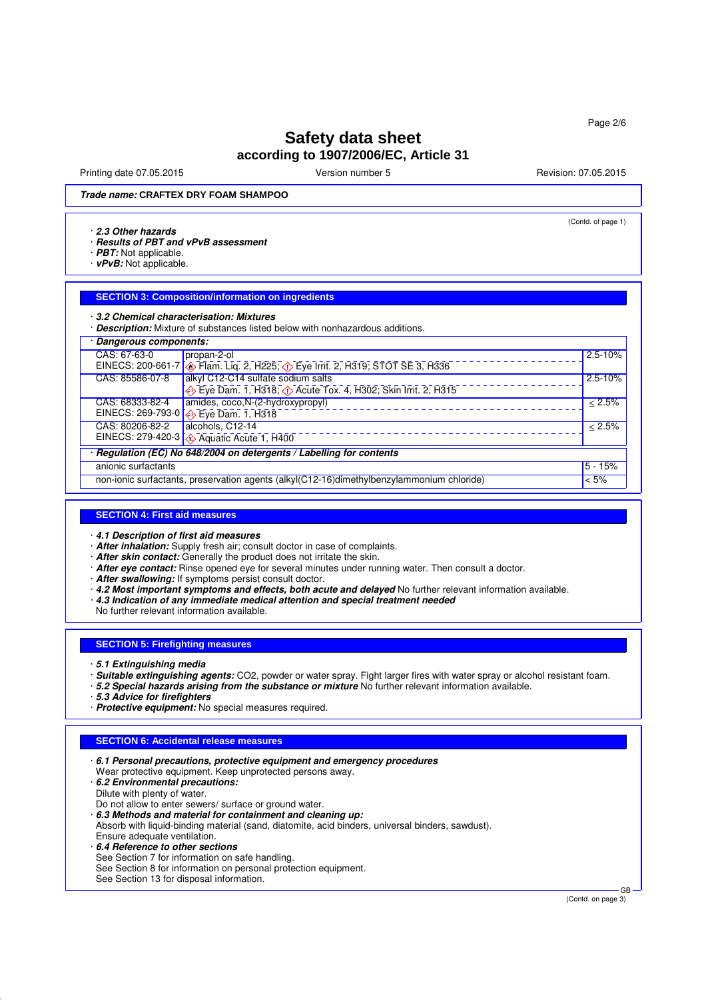Printing date 07.05.2015 **Principal and COVID-100** Version number 5 Revision: 07.05.2015

(Contd. of page 1)

**Trade name: CRAFTEX DRY FOAM SHAMPOO**

#### · **2.3 Other hazards**

- · **Results of PBT and vPvB assessment**
- · **PBT:** Not applicable.
- · **vPvB:** Not applicable.

#### **SECTION 3: Composition/information on ingredients**

#### · **3.2 Chemical characterisation: Mixtures**

· **Description:** Mixture of substances listed below with nonhazardous additions.

| Dangerous components:                                                                                |                                                                                                     |              |
|------------------------------------------------------------------------------------------------------|-----------------------------------------------------------------------------------------------------|--------------|
| CAS: 67-63-0                                                                                         | propan-2-ol                                                                                         | $2.5 - 10%$  |
|                                                                                                      | EINECS: 200-661-7 <b>&amp;</b> Flam. Liq. 2, H225; <b>&amp;</b> Eye Irrit. 2, H319; STOT SE 3, H336 |              |
| CAS: 85586-07-8                                                                                      | alkyl C12-C14 sulfate sodium salts                                                                  | $2.5 - 10%$  |
|                                                                                                      | Eye Dam. 1, H318; $\circled{)}$ Acute Tox. 4, H302; Skin Irrit. 2, H315                             |              |
| CAS: 68333-82-4                                                                                      | amides, coco, N-(2-hydroxypropyl)                                                                   | $\leq 2.5\%$ |
|                                                                                                      | EINECS: 269-793-0 $\bigotimes$ Eye Dam. 1, H318                                                     |              |
| CAS: 80206-82-2                                                                                      | alcohols, C12-14                                                                                    | < 2.5%       |
|                                                                                                      | EINECS: 279-420-3 4 Aquatic Acute 1, H400                                                           |              |
| · Regulation (EC) No 648/2004 on detergents / Labelling for contents                                 |                                                                                                     |              |
| anionic surfactants                                                                                  |                                                                                                     | $5 - 15%$    |
| non-ionic surfactants, preservation agents (alkyl(C12-16)dimethylbenzylammonium chloride)<br>$< 5\%$ |                                                                                                     |              |

#### **SECTION 4: First aid measures**

· **4.1 Description of first aid measures**

- · **After inhalation:** Supply fresh air; consult doctor in case of complaints.
- · **After skin contact:** Generally the product does not irritate the skin.
- · **After eye contact:** Rinse opened eye for several minutes under running water. Then consult a doctor.
- · **After swallowing:** If symptoms persist consult doctor.
- · **4.2 Most important symptoms and effects, both acute and delayed** No further relevant information available.
- · **4.3 Indication of any immediate medical attention and special treatment needed**
- No further relevant information available.

### **SECTION 5: Firefighting measures**

- · **5.1 Extinguishing media**
- · **Suitable extinguishing agents:** CO2, powder or water spray. Fight larger fires with water spray or alcohol resistant foam.
- · **5.2 Special hazards arising from the substance or mixture** No further relevant information available.
- · **5.3 Advice for firefighters**
- · **Protective equipment:** No special measures required.

### **SECTION 6: Accidental release measures**

- · **6.1 Personal precautions, protective equipment and emergency procedures** Wear protective equipment. Keep unprotected persons away.
- · **6.2 Environmental precautions:**
- Dilute with plenty of water.
- Do not allow to enter sewers/ surface or ground water.
- · **6.3 Methods and material for containment and cleaning up:**
- Absorb with liquid-binding material (sand, diatomite, acid binders, universal binders, sawdust). Ensure adequate ventilation.
- · **6.4 Reference to other sections**
- See Section 7 for information on safe handling.
- See Section 8 for information on personal protection equipment.
- See Section 13 for disposal information.

(Contd. on page 3)

GB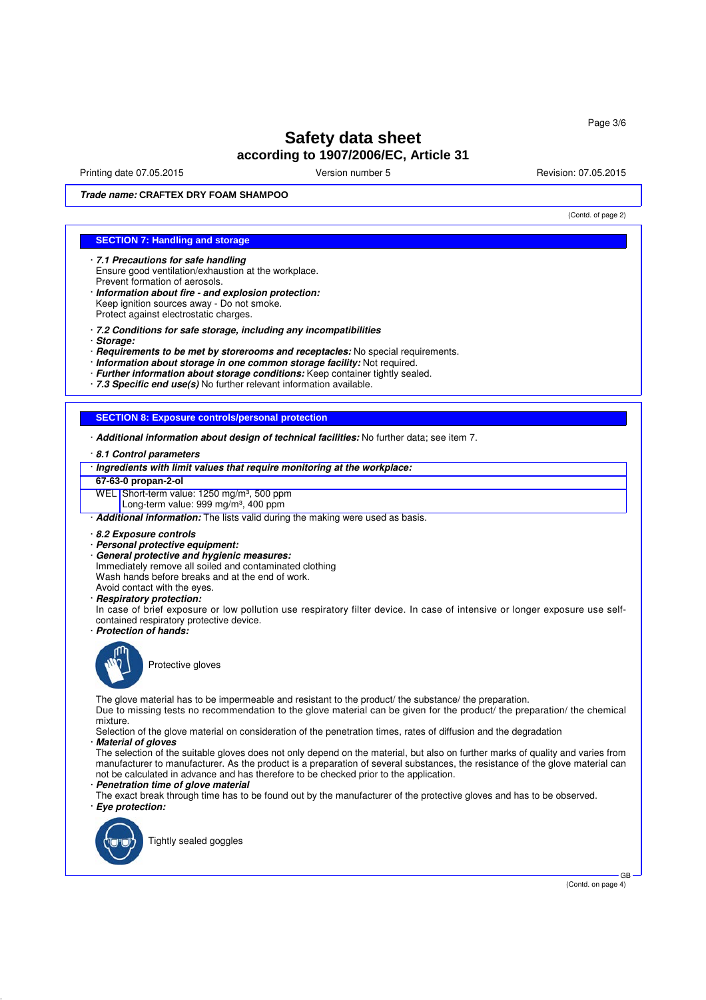Printing date 07.05.2015 **Principal and COVID-100** Version number 5 Revision: 07.05.2015

(Contd. of page 2)

**Trade name: CRAFTEX DRY FOAM SHAMPOO**

### **SECTION 7: Handling and storage**

- · **7.1 Precautions for safe handling** Ensure good ventilation/exhaustion at the workplace. Prevent formation of aerosols.
- · **Information about fire and explosion protection:** Keep ignition sources away - Do not smoke. Protect against electrostatic charges.
- · **7.2 Conditions for safe storage, including any incompatibilities**
- · **Storage:**
- · **Requirements to be met by storerooms and receptacles:** No special requirements.
- · **Information about storage in one common storage facility:** Not required.
- · **Further information about storage conditions:** Keep container tightly sealed.
- · **7.3 Specific end use(s)** No further relevant information available.

### **SECTION 8: Exposure controls/personal protection**

- · **Additional information about design of technical facilities:** No further data; see item 7.
- · **8.1 Control parameters**
- · **Ingredients with limit values that require monitoring at the workplace:**
- **67-63-0 propan-2-ol**
- WEL Short-term value: 1250 mg/m<sup>3</sup>, 500 ppm
- Long-term value: 999 mg/m<sup>3</sup>, 400 ppm

· **Additional information:** The lists valid during the making were used as basis.

- · **8.2 Exposure controls**
- · **Personal protective equipment:**
- · **General protective and hygienic measures:**
- Immediately remove all soiled and contaminated clothing
- Wash hands before breaks and at the end of work.
- Avoid contact with the eyes.
- · **Respiratory protection:**

In case of brief exposure or low pollution use respiratory filter device. In case of intensive or longer exposure use selfcontained respiratory protective device.

· **Protection of hands:**



Protective gloves

The glove material has to be impermeable and resistant to the product/ the substance/ the preparation.

Due to missing tests no recommendation to the glove material can be given for the product/ the preparation/ the chemical mixture.

Selection of the glove material on consideration of the penetration times, rates of diffusion and the degradation

### · **Material of gloves**

The selection of the suitable gloves does not only depend on the material, but also on further marks of quality and varies from manufacturer to manufacturer. As the product is a preparation of several substances, the resistance of the glove material can not be calculated in advance and has therefore to be checked prior to the application.

#### · **Penetration time of glove material**

The exact break through time has to be found out by the manufacturer of the protective gloves and has to be observed. · **Eye protection:**



Tightly sealed goggles

(Contd. on page 4)

GB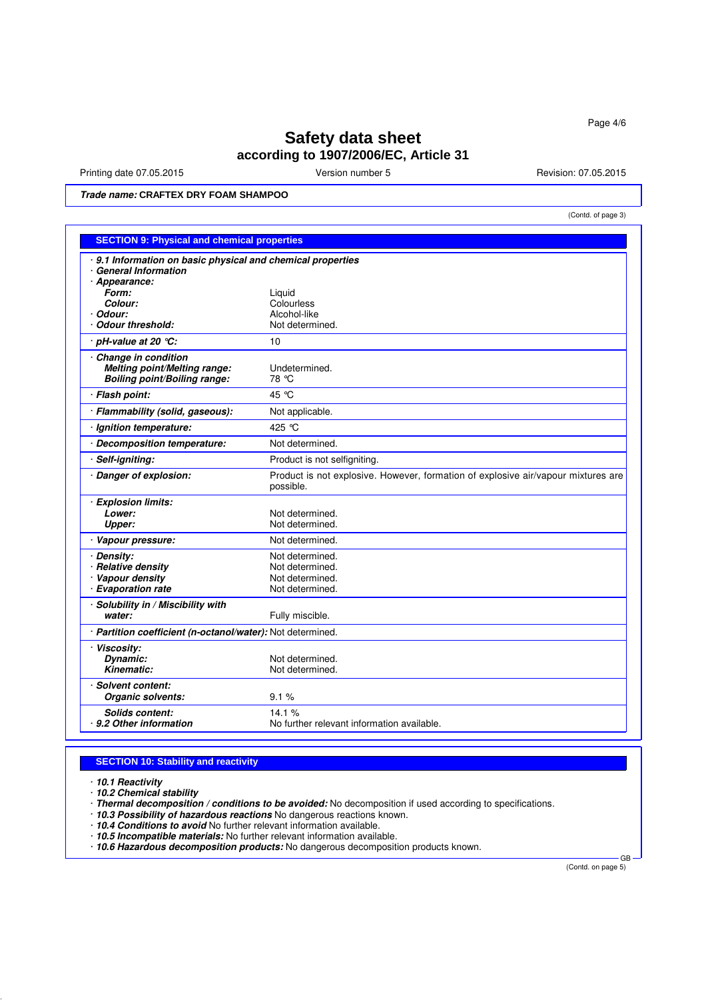Printing date 07.05.2015 **Version number 5** Revision: 07.05.2015 **Revision: 07.05.2015** 

(Contd. of page 3)

**Trade name: CRAFTEX DRY FOAM SHAMPOO**

| <b>SECTION 9: Physical and chemical properties</b>                                      |                                                                                                |  |  |  |
|-----------------------------------------------------------------------------------------|------------------------------------------------------------------------------------------------|--|--|--|
| 9.1 Information on basic physical and chemical properties<br><b>General Information</b> |                                                                                                |  |  |  |
| · Appearance:                                                                           |                                                                                                |  |  |  |
| Form:                                                                                   | Liguid                                                                                         |  |  |  |
| Colour:                                                                                 | Colourless                                                                                     |  |  |  |
| Odour:<br><b>Odour threshold:</b>                                                       | Alcohol-like<br>Not determined.                                                                |  |  |  |
| · pH-value at 20 ℃:                                                                     | 10                                                                                             |  |  |  |
| <b>Change in condition</b>                                                              |                                                                                                |  |  |  |
| Melting point/Melting range:                                                            | Undetermined.                                                                                  |  |  |  |
| <b>Boiling point/Boiling range:</b>                                                     | 78 °C                                                                                          |  |  |  |
| · Flash point:                                                                          | 45 °C                                                                                          |  |  |  |
| · Flammability (solid, gaseous):                                                        | Not applicable.                                                                                |  |  |  |
| · Ignition temperature:                                                                 | 425 °C                                                                                         |  |  |  |
| <b>Decomposition temperature:</b>                                                       | Not determined.                                                                                |  |  |  |
| Self-igniting:                                                                          | Product is not selfigniting.                                                                   |  |  |  |
| Danger of explosion:                                                                    | Product is not explosive. However, formation of explosive air/vapour mixtures are<br>possible. |  |  |  |
| · Explosion limits:                                                                     |                                                                                                |  |  |  |
| Lower:                                                                                  | Not determined.                                                                                |  |  |  |
| Upper:                                                                                  | Not determined.                                                                                |  |  |  |
| · Vapour pressure:                                                                      | Not determined.                                                                                |  |  |  |
| · Density:                                                                              | Not determined.                                                                                |  |  |  |
| · Relative density                                                                      | Not determined.                                                                                |  |  |  |
| · Vapour density<br><b>Evaporation rate</b>                                             | Not determined.<br>Not determined.                                                             |  |  |  |
| Solubility in / Miscibility with                                                        |                                                                                                |  |  |  |
| water:                                                                                  | Fully miscible.                                                                                |  |  |  |
| · Partition coefficient (n-octanol/water): Not determined.                              |                                                                                                |  |  |  |
| · Viscositv:                                                                            |                                                                                                |  |  |  |
| Dynamic:                                                                                | Not determined.                                                                                |  |  |  |
| Kinematic:                                                                              | Not determined.                                                                                |  |  |  |
| · Solvent content:                                                                      |                                                                                                |  |  |  |
| Organic solvents:                                                                       | 9.1%                                                                                           |  |  |  |
| Solids content:                                                                         | 14.1%                                                                                          |  |  |  |
| 9.2 Other information                                                                   | No further relevant information available.                                                     |  |  |  |

## **SECTION 10: Stability and reactivity**

· **10.1 Reactivity**

· **10.2 Chemical stability**

- · **Thermal decomposition / conditions to be avoided:** No decomposition if used according to specifications.
- · **10.3 Possibility of hazardous reactions** No dangerous reactions known.
- · **10.4 Conditions to avoid** No further relevant information available.
- · **10.5 Incompatible materials:** No further relevant information available.
- · **10.6 Hazardous decomposition products:** No dangerous decomposition products known.

(Contd. on page 5)

GB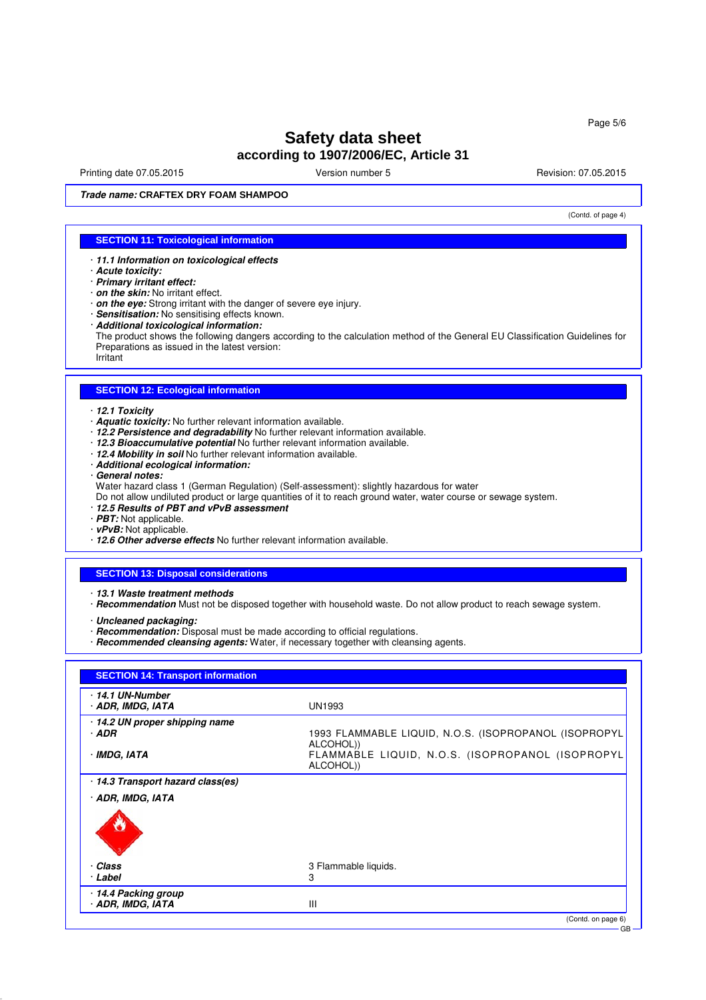Printing date 07.05.2015 **Principal and COVID-100** Version number 5 Revision: 07.05.2015

**Trade name: CRAFTEX DRY FOAM SHAMPOO**

(Contd. of page 4)

### **SECTION 11: Toxicological information**

· **11.1 Information on toxicological effects**

- · **Acute toxicity:**
- · **Primary irritant effect:**
- · **on the skin:** No irritant effect.
- · **on the eye:** Strong irritant with the danger of severe eye injury.
- · **Sensitisation:** No sensitising effects known.
- · **Additional toxicological information:**

The product shows the following dangers according to the calculation method of the General EU Classification Guidelines for Preparations as issued in the latest version:

Irritant

# **SECTION 12: Ecological information**

- · **12.1 Toxicity**
- · **Aquatic toxicity:** No further relevant information available.
- · **12.2 Persistence and degradability** No further relevant information available.
- · **12.3 Bioaccumulative potential** No further relevant information available.
- · **12.4 Mobility in soil** No further relevant information available.
- · **Additional ecological information:**
- · **General notes:**
- Water hazard class 1 (German Regulation) (Self-assessment): slightly hazardous for water
- Do not allow undiluted product or large quantities of it to reach ground water, water course or sewage system.
- · **12.5 Results of PBT and vPvB assessment**
- · **PBT:** Not applicable.
- · **vPvB:** Not applicable.
- · **12.6 Other adverse effects** No further relevant information available.

#### **SECTION 13: Disposal considerations**

· **13.1 Waste treatment methods**

· **Recommendation** Must not be disposed together with household waste. Do not allow product to reach sewage system.

· **Uncleaned packaging:**

- · **Recommendation:** Disposal must be made according to official regulations.
- · **Recommended cleansing agents:** Water, if necessary together with cleansing agents.

| ⋅14.1 UN-Number<br>· ADR, IMDG, IATA    | <b>UN1993</b>                                                      |
|-----------------------------------------|--------------------------------------------------------------------|
| 14.2 UN proper shipping name<br>$·$ ADR | 1993 FLAMMABLE LIQUID, N.O.S. (ISOPROPANOL (ISOPROPYL<br>ALCOHOL)) |
| · IMDG, IATA                            | FLAMMABLE LIQUID, N.O.S. (ISOPROPANOL (ISOPROPYL<br>ALCOHOL))      |
| 14.3 Transport hazard class(es)         |                                                                    |
| · ADR, IMDG, IATA                       |                                                                    |
|                                         |                                                                    |
| · Class                                 | 3 Flammable liquids.                                               |
|                                         | 3                                                                  |
| · Label                                 |                                                                    |
| 14.4 Packing group                      |                                                                    |